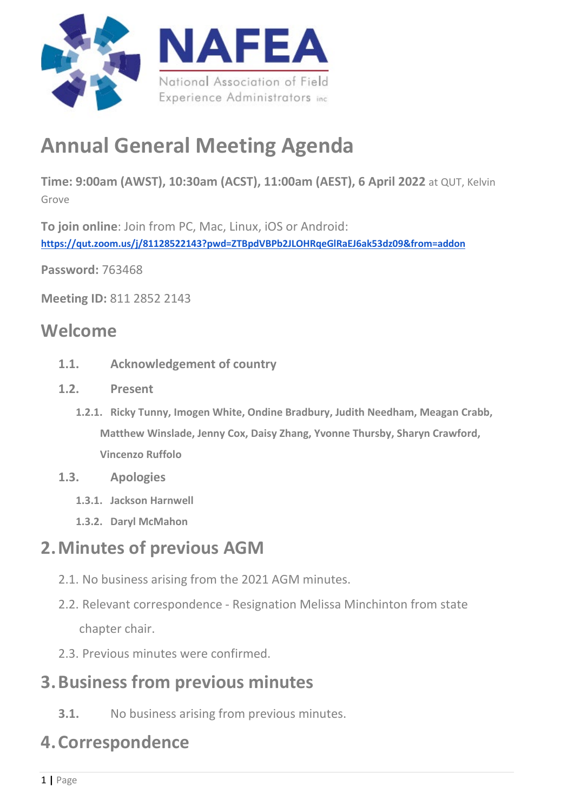

# **Annual General Meeting Agenda**

**Time: 9:00am (AWST), 10:30am (ACST), 11:00am (AEST), 6 April 2022** at QUT, Kelvin Grove

**To join online**: Join from PC, Mac, Linux, iOS or Android: **<https://qut.zoom.us/j/81128522143?pwd=ZTBpdVBPb2JLOHRqeGlRaEJ6ak53dz09&from=addon>**

**Password:** 763468

**Meeting ID:** 811 2852 2143

### **Welcome**

- **1.1. Acknowledgement of country**
- **1.2. Present**
	- **1.2.1. Ricky Tunny, Imogen White, Ondine Bradbury, Judith Needham, Meagan Crabb, Matthew Winslade, Jenny Cox, Daisy Zhang, Yvonne Thursby, Sharyn Crawford, Vincenzo Ruffolo**
- **1.3. Apologies**
	- **1.3.1. Jackson Harnwell**
	- **1.3.2. Daryl McMahon**

# **2.Minutes of previous AGM**

- 2.1. No business arising from the 2021 AGM minutes.
- 2.2. Relevant correspondence Resignation Melissa Minchinton from state chapter chair.
- 2.3. Previous minutes were confirmed.

### **3.Business from previous minutes**

**3.1.** No business arising from previous minutes.

# **4.Correspondence**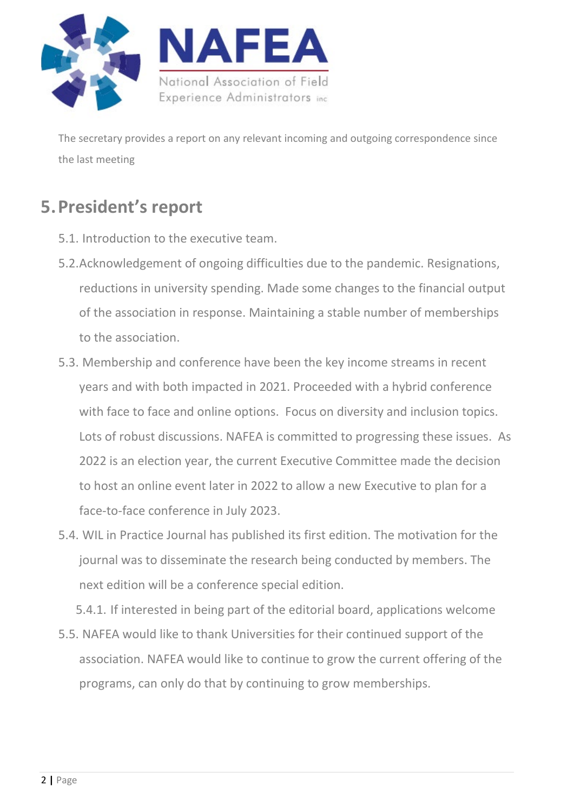

The secretary provides a report on any relevant incoming and outgoing correspondence since the last meeting

# **5.President's report**

- 5.1. Introduction to the executive team.
- 5.2.Acknowledgement of ongoing difficulties due to the pandemic. Resignations, reductions in university spending. Made some changes to the financial output of the association in response. Maintaining a stable number of memberships to the association.
- 5.3. Membership and conference have been the key income streams in recent years and with both impacted in 2021. Proceeded with a hybrid conference with face to face and online options. Focus on diversity and inclusion topics. Lots of robust discussions. NAFEA is committed to progressing these issues. As 2022 is an election year, the current Executive Committee made the decision to host an online event later in 2022 to allow a new Executive to plan for a face-to-face conference in July 2023.
- 5.4. WIL in Practice Journal has published its first edition. The motivation for the journal was to disseminate the research being conducted by members. The next edition will be a conference special edition.

5.4.1. If interested in being part of the editorial board, applications welcome

5.5. NAFEA would like to thank Universities for their continued support of the association. NAFEA would like to continue to grow the current offering of the programs, can only do that by continuing to grow memberships.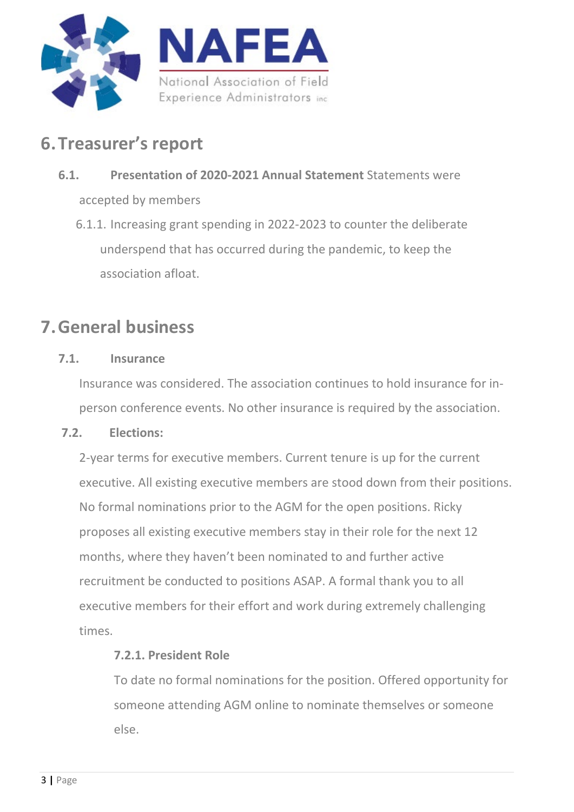

# **6.Treasurer's report**

### **6.1. Presentation of 2020-2021 Annual Statement** Statements were accepted by members

6.1.1. Increasing grant spending in 2022-2023 to counter the deliberate underspend that has occurred during the pandemic, to keep the association afloat.

# **7.General business**

#### **7.1. Insurance**

Insurance was considered. The association continues to hold insurance for inperson conference events. No other insurance is required by the association.

#### **7.2. Elections:**

2-year terms for executive members. Current tenure is up for the current executive. All existing executive members are stood down from their positions. No formal nominations prior to the AGM for the open positions. Ricky proposes all existing executive members stay in their role for the next 12 months, where they haven't been nominated to and further active recruitment be conducted to positions ASAP. A formal thank you to all executive members for their effort and work during extremely challenging times.

#### **7.2.1. President Role**

To date no formal nominations for the position. Offered opportunity for someone attending AGM online to nominate themselves or someone else.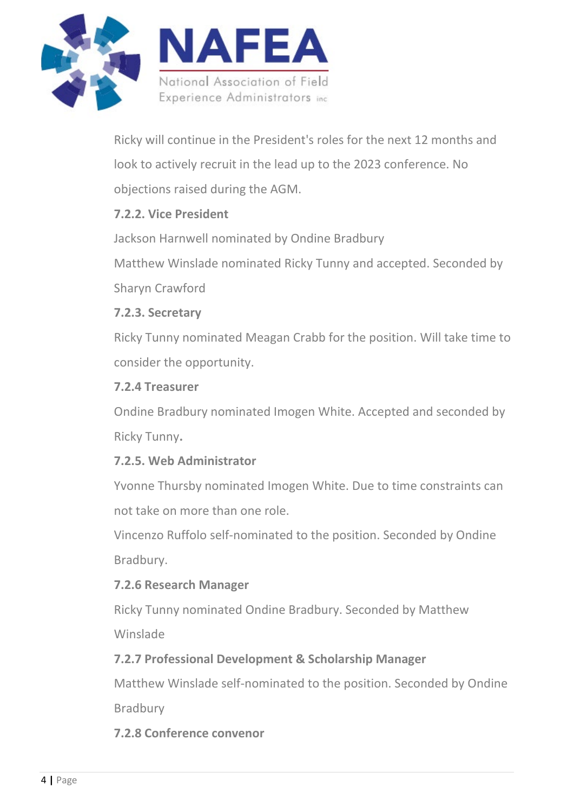

Ricky will continue in the President's roles for the next 12 months and look to actively recruit in the lead up to the 2023 conference. No objections raised during the AGM.

#### **7.2.2. Vice President**

Jackson Harnwell nominated by Ondine Bradbury Matthew Winslade nominated Ricky Tunny and accepted. Seconded by Sharyn Crawford

#### **7.2.3. Secretary**

Ricky Tunny nominated Meagan Crabb for the position. Will take time to consider the opportunity.

#### **7.2.4 Treasurer**

Ondine Bradbury nominated Imogen White. Accepted and seconded by Ricky Tunny**.**

#### **7.2.5. Web Administrator**

Yvonne Thursby nominated Imogen White. Due to time constraints can not take on more than one role.

Vincenzo Ruffolo self-nominated to the position. Seconded by Ondine Bradbury.

#### **7.2.6 Research Manager**

Ricky Tunny nominated Ondine Bradbury. Seconded by Matthew Winslade

#### **7.2.7 Professional Development & Scholarship Manager**

Matthew Winslade self-nominated to the position. Seconded by Ondine Bradbury

**7.2.8 Conference convenor**